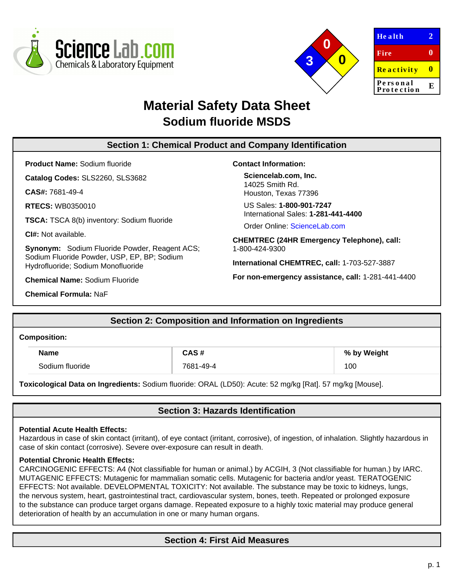



| <b>Health</b>          |    |
|------------------------|----|
| Fire                   | o  |
| <b>Reactivity</b>      | ш  |
| Personal<br>Protection | F. |
|                        |    |

# **Material Safety Data Sheet Sodium fluoride MSDS**

## **Section 1: Chemical Product and Company Identification**

**Product Name:** Sodium fluoride

**Catalog Codes:** SLS2260, SLS3682

**CAS#:** 7681-49-4

**RTECS:** WB0350010

**TSCA:** TSCA 8(b) inventory: Sodium fluoride

**CI#:** Not available.

**Synonym:** Sodium Fluoride Powder, Reagent ACS; Sodium Fluoride Powder, USP, EP, BP; Sodium Hydrofluoride; Sodium Monofluoride

**Chemical Name:** Sodium Fluoride

**Contact Information:**

**Sciencelab.com, Inc.** 14025 Smith Rd. Houston, Texas 77396

US Sales: **1-800-901-7247** International Sales: **1-281-441-4400**

Order Online: [ScienceLab.com](http://www.sciencelab.com/)

**CHEMTREC (24HR Emergency Telephone), call:** 1-800-424-9300

**International CHEMTREC, call:** 1-703-527-3887

**For non-emergency assistance, call:** 1-281-441-4400

**Chemical Formula:** NaF

# **Section 2: Composition and Information on Ingredients**

#### **Composition:**

| Name            | $\Lambda$ C $\mu$ | % by Weight |
|-----------------|-------------------|-------------|
| Sodium fluoride | 7681-49-4         | 100         |

**Toxicological Data on Ingredients:** Sodium fluoride: ORAL (LD50): Acute: 52 mg/kg [Rat]. 57 mg/kg [Mouse].

## **Section 3: Hazards Identification**

### **Potential Acute Health Effects:**

Hazardous in case of skin contact (irritant), of eye contact (irritant, corrosive), of ingestion, of inhalation. Slightly hazardous in case of skin contact (corrosive). Severe over-exposure can result in death.

### **Potential Chronic Health Effects:**

CARCINOGENIC EFFECTS: A4 (Not classifiable for human or animal.) by ACGIH, 3 (Not classifiable for human.) by IARC. MUTAGENIC EFFECTS: Mutagenic for mammalian somatic cells. Mutagenic for bacteria and/or yeast. TERATOGENIC EFFECTS: Not available. DEVELOPMENTAL TOXICITY: Not available. The substance may be toxic to kidneys, lungs, the nervous system, heart, gastrointestinal tract, cardiovascular system, bones, teeth. Repeated or prolonged exposure to the substance can produce target organs damage. Repeated exposure to a highly toxic material may produce general deterioration of health by an accumulation in one or many human organs.

## **Section 4: First Aid Measures**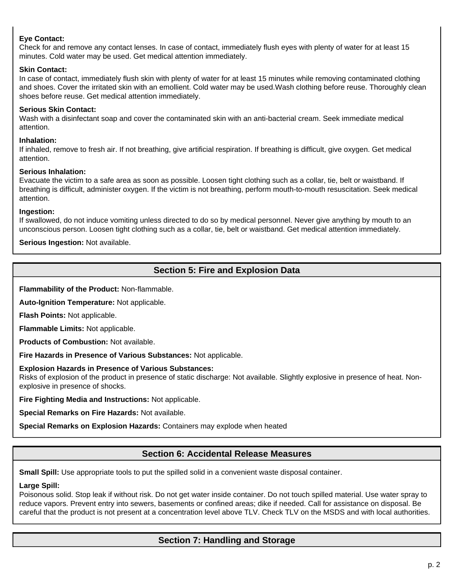### **Eye Contact:**

Check for and remove any contact lenses. In case of contact, immediately flush eyes with plenty of water for at least 15 minutes. Cold water may be used. Get medical attention immediately.

### **Skin Contact:**

In case of contact, immediately flush skin with plenty of water for at least 15 minutes while removing contaminated clothing and shoes. Cover the irritated skin with an emollient. Cold water may be used.Wash clothing before reuse. Thoroughly clean shoes before reuse. Get medical attention immediately.

### **Serious Skin Contact:**

Wash with a disinfectant soap and cover the contaminated skin with an anti-bacterial cream. Seek immediate medical attention.

#### **Inhalation:**

If inhaled, remove to fresh air. If not breathing, give artificial respiration. If breathing is difficult, give oxygen. Get medical attention.

### **Serious Inhalation:**

Evacuate the victim to a safe area as soon as possible. Loosen tight clothing such as a collar, tie, belt or waistband. If breathing is difficult, administer oxygen. If the victim is not breathing, perform mouth-to-mouth resuscitation. Seek medical attention.

#### **Ingestion:**

If swallowed, do not induce vomiting unless directed to do so by medical personnel. Never give anything by mouth to an unconscious person. Loosen tight clothing such as a collar, tie, belt or waistband. Get medical attention immediately.

**Serious Ingestion:** Not available.

## **Section 5: Fire and Explosion Data**

**Flammability of the Product:** Non-flammable.

**Auto-Ignition Temperature:** Not applicable.

**Flash Points:** Not applicable.

**Flammable Limits:** Not applicable.

**Products of Combustion:** Not available.

**Fire Hazards in Presence of Various Substances:** Not applicable.

**Explosion Hazards in Presence of Various Substances:**

Risks of explosion of the product in presence of static discharge: Not available. Slightly explosive in presence of heat. Nonexplosive in presence of shocks.

**Fire Fighting Media and Instructions:** Not applicable.

**Special Remarks on Fire Hazards:** Not available.

**Special Remarks on Explosion Hazards:** Containers may explode when heated

# **Section 6: Accidental Release Measures**

**Small Spill:** Use appropriate tools to put the spilled solid in a convenient waste disposal container.

## **Large Spill:**

Poisonous solid. Stop leak if without risk. Do not get water inside container. Do not touch spilled material. Use water spray to reduce vapors. Prevent entry into sewers, basements or confined areas; dike if needed. Call for assistance on disposal. Be careful that the product is not present at a concentration level above TLV. Check TLV on the MSDS and with local authorities.

## **Section 7: Handling and Storage**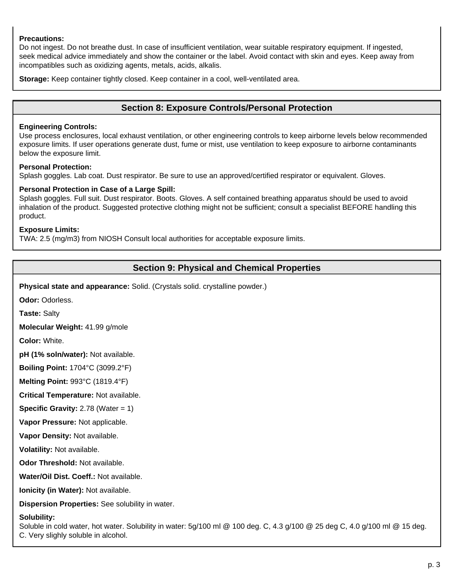### **Precautions:**

Do not ingest. Do not breathe dust. In case of insufficient ventilation, wear suitable respiratory equipment. If ingested, seek medical advice immediately and show the container or the label. Avoid contact with skin and eyes. Keep away from incompatibles such as oxidizing agents, metals, acids, alkalis.

**Storage:** Keep container tightly closed. Keep container in a cool, well-ventilated area.

# **Section 8: Exposure Controls/Personal Protection**

#### **Engineering Controls:**

Use process enclosures, local exhaust ventilation, or other engineering controls to keep airborne levels below recommended exposure limits. If user operations generate dust, fume or mist, use ventilation to keep exposure to airborne contaminants below the exposure limit.

### **Personal Protection:**

Splash goggles. Lab coat. Dust respirator. Be sure to use an approved/certified respirator or equivalent. Gloves.

### **Personal Protection in Case of a Large Spill:**

Splash goggles. Full suit. Dust respirator. Boots. Gloves. A self contained breathing apparatus should be used to avoid inhalation of the product. Suggested protective clothing might not be sufficient; consult a specialist BEFORE handling this product.

### **Exposure Limits:**

TWA: 2.5 (mg/m3) from NIOSH Consult local authorities for acceptable exposure limits.

## **Section 9: Physical and Chemical Properties**

**Physical state and appearance:** Solid. (Crystals solid. crystalline powder.)

**Odor:** Odorless.

**Taste:** Salty

**Molecular Weight:** 41.99 g/mole

**Color:** White.

**pH (1% soln/water):** Not available.

**Boiling Point:** 1704°C (3099.2°F)

**Melting Point:** 993°C (1819.4°F)

**Critical Temperature:** Not available.

**Specific Gravity:** 2.78 (Water  $= 1$ )

**Vapor Pressure:** Not applicable.

**Vapor Density:** Not available.

**Volatility:** Not available.

**Odor Threshold:** Not available.

**Water/Oil Dist. Coeff.:** Not available.

**Ionicity (in Water):** Not available.

**Dispersion Properties:** See solubility in water.

#### **Solubility:**

Soluble in cold water, hot water. Solubility in water: 5g/100 ml @ 100 deg. C, 4.3 g/100 @ 25 deg C, 4.0 g/100 ml @ 15 deg. C. Very slighly soluble in alcohol.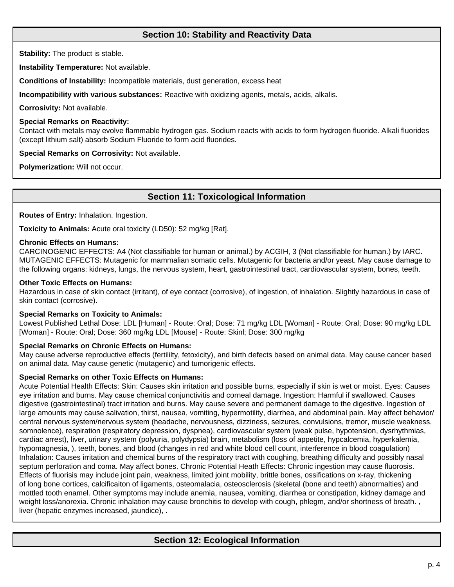# **Section 10: Stability and Reactivity Data**

**Stability:** The product is stable.

**Instability Temperature:** Not available.

**Conditions of Instability:** Incompatible materials, dust generation, excess heat

**Incompatibility with various substances:** Reactive with oxidizing agents, metals, acids, alkalis.

**Corrosivity:** Not available.

### **Special Remarks on Reactivity:**

Contact with metals may evolve flammable hydrogen gas. Sodium reacts with acids to form hydrogen fluoride. Alkali fluorides (except lithium salt) absorb Sodium Fluoride to form acid fluorides.

**Special Remarks on Corrosivity:** Not available.

**Polymerization:** Will not occur.

## **Section 11: Toxicological Information**

**Routes of Entry:** Inhalation. Ingestion.

**Toxicity to Animals:** Acute oral toxicity (LD50): 52 mg/kg [Rat].

### **Chronic Effects on Humans:**

CARCINOGENIC EFFECTS: A4 (Not classifiable for human or animal.) by ACGIH, 3 (Not classifiable for human.) by IARC. MUTAGENIC EFFECTS: Mutagenic for mammalian somatic cells. Mutagenic for bacteria and/or yeast. May cause damage to the following organs: kidneys, lungs, the nervous system, heart, gastrointestinal tract, cardiovascular system, bones, teeth.

### **Other Toxic Effects on Humans:**

Hazardous in case of skin contact (irritant), of eye contact (corrosive), of ingestion, of inhalation. Slightly hazardous in case of skin contact (corrosive).

### **Special Remarks on Toxicity to Animals:**

Lowest Published Lethal Dose: LDL [Human] - Route: Oral; Dose: 71 mg/kg LDL [Woman] - Route: Oral; Dose: 90 mg/kg LDL [Woman] - Route: Oral; Dose: 360 mg/kg LDL [Mouse] - Route: Skinl; Dose: 300 mg/kg

### **Special Remarks on Chronic Effects on Humans:**

May cause adverse reproductive effects (fertililty, fetoxicity), and birth defects based on animal data. May cause cancer based on animal data. May cause genetic (mutagenic) and tumorigenic effects.

### **Special Remarks on other Toxic Effects on Humans:**

Acute Potential Health Effects: Skin: Causes skin irritation and possible burns, especially if skin is wet or moist. Eyes: Causes eye irritation and burns. May cause chemical conjunctivitis and corneal damage. Ingestion: Harmful if swallowed. Causes digestive (gastrointestinal) tract irritation and burns. May cause severe and permanent damage to the digestive. Ingestion of large amounts may cause salivation, thirst, nausea, vomiting, hypermotility, diarrhea, and abdominal pain. May affect behavior/ central nervous system/nervous system (headache, nervousness, dizziness, seizures, convulsions, tremor, muscle weakness, somnolence), respiration (respiratory depression, dyspnea), cardiovascular system (weak pulse, hypotension, dysrhythmias, cardiac arrest), liver, urinary system (polyuria, polydypsia) brain, metabolism (loss of appetite, hypcalcemia, hyperkalemia, hypomagnesia, ), teeth, bones, and blood (changes in red and white blood cell count, interference in blood coagulation) Inhalation: Causes irritation and chemical burns of the respiratory tract with coughing, breathing difficulty and possibly nasal septum perforation and coma. May affect bones. Chronic Potential Heath Effects: Chronic ingestion may cause fluorosis. Effects of fluorisis may include joint pain, weakness, limited joint mobility, brittle bones, ossifications on x-ray, thickening of long bone cortices, calcificaiton of ligaments, osteomalacia, osteosclerosis (skeletal (bone and teeth) abnormalties) and mottled tooth enamel. Other symptoms may include anemia, nausea, vomiting, diarrhea or constipation, kidney damage and weight loss/anorexia. Chronic inhalation may cause bronchitis to develop with cough, phlegm, and/or shortness of breath. , liver (hepatic enzymes increased, jaundice), .

## **Section 12: Ecological Information**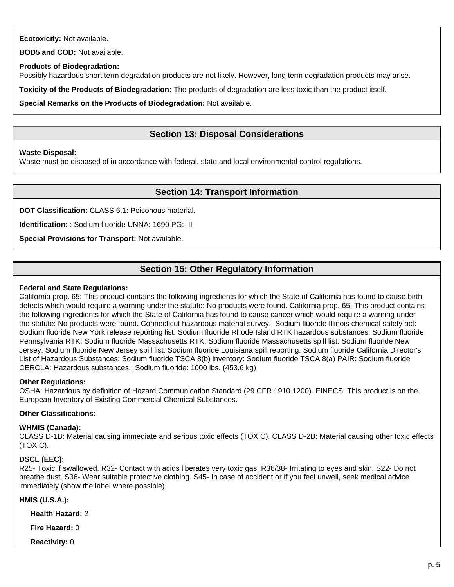**Ecotoxicity:** Not available.

**BOD5 and COD:** Not available.

**Products of Biodegradation:**

Possibly hazardous short term degradation products are not likely. However, long term degradation products may arise.

**Toxicity of the Products of Biodegradation:** The products of degradation are less toxic than the product itself.

**Special Remarks on the Products of Biodegradation:** Not available.

## **Section 13: Disposal Considerations**

### **Waste Disposal:**

Waste must be disposed of in accordance with federal, state and local environmental control regulations.

### **Section 14: Transport Information**

**DOT Classification:** CLASS 6.1: Poisonous material.

**Identification:** : Sodium fluoride UNNA: 1690 PG: III

**Special Provisions for Transport:** Not available.

## **Section 15: Other Regulatory Information**

#### **Federal and State Regulations:**

California prop. 65: This product contains the following ingredients for which the State of California has found to cause birth defects which would require a warning under the statute: No products were found. California prop. 65: This product contains the following ingredients for which the State of California has found to cause cancer which would require a warning under the statute: No products were found. Connecticut hazardous material survey.: Sodium fluoride Illinois chemical safety act: Sodium fluoride New York release reporting list: Sodium fluoride Rhode Island RTK hazardous substances: Sodium fluoride Pennsylvania RTK: Sodium fluoride Massachusetts RTK: Sodium fluoride Massachusetts spill list: Sodium fluoride New Jersey: Sodium fluoride New Jersey spill list: Sodium fluoride Louisiana spill reporting: Sodium fluoride California Director's List of Hazardous Substances: Sodium fluoride TSCA 8(b) inventory: Sodium fluoride TSCA 8(a) PAIR: Sodium fluoride CERCLA: Hazardous substances.: Sodium fluoride: 1000 lbs. (453.6 kg)

#### **Other Regulations:**

OSHA: Hazardous by definition of Hazard Communication Standard (29 CFR 1910.1200). EINECS: This product is on the European Inventory of Existing Commercial Chemical Substances.

### **Other Classifications:**

### **WHMIS (Canada):**

CLASS D-1B: Material causing immediate and serious toxic effects (TOXIC). CLASS D-2B: Material causing other toxic effects (TOXIC).

### **DSCL (EEC):**

R25- Toxic if swallowed. R32- Contact with acids liberates very toxic gas. R36/38- Irritating to eyes and skin. S22- Do not breathe dust. S36- Wear suitable protective clothing. S45- In case of accident or if you feel unwell, seek medical advice immediately (show the label where possible).

### **HMIS (U.S.A.):**

**Health Hazard:** 2

**Fire Hazard:** 0

**Reactivity:** 0